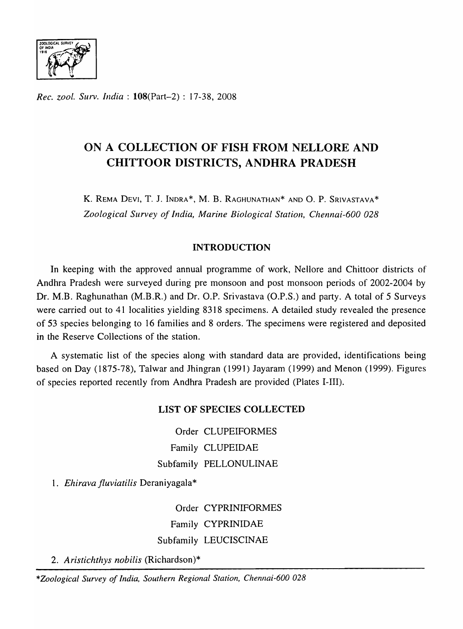

*Rec. ZOO!. Surv. India:* l08(Part-2) : 17-38, 2008

# ON A COLLECTION OF FISH FROM NELLORE AND CHITTO OR DISTRICTS, ANDHRA PRADESH

K. REMA DEVI, T. J. INDRA\*, M. B. RAGHUNATHAN\* AND O. P. SRIVASTAVA\* *Zoological Survey of India, Marine Biological Station, Chennai-600 028* 

# INTRODUCTION

In keeping with the approved annual programme of work, Nellore and Chittoor districts of Andhra Pradesh were surveyed during pre monsoon and post monsoon periods of 2002-2004 by Dr. M.B. Raghunathan (M.B.R.) and Dr. O.P. Srivastava (O.P.S.) and party. A total of 5 Surveys were carried out to 41 localities yielding 8318 specimens. A detailed study revealed the presence of 53 species belonging to 16 families and 8 orders. The specimens were registered and deposited in the Reserve Collections of the station.

A systematic list of the species along with standard data are provided, identifications being based on Day (1875-78), Talwar and Jhingran (1991) Jayaram (1999) and Menon (1999). Figures of species reported recently from Andhra Pradesh are provided (Plates I-III).

# LIST OF SPECIES COLLECTED

Order CLUPEIFORMES Family CLUPEIDAE Subfamily PELLONULINAE

*1. Ehirava fluviatilis* Deraniyagala\*

Order CYPRINIFORMES Family CYPRINIDAE Subfamily LEUCISCINAE

*2. Aristichthys nobilis* (Richardson)\*

*\*Zoological Survey of India, Southern Regional Station, Chennai-600 028*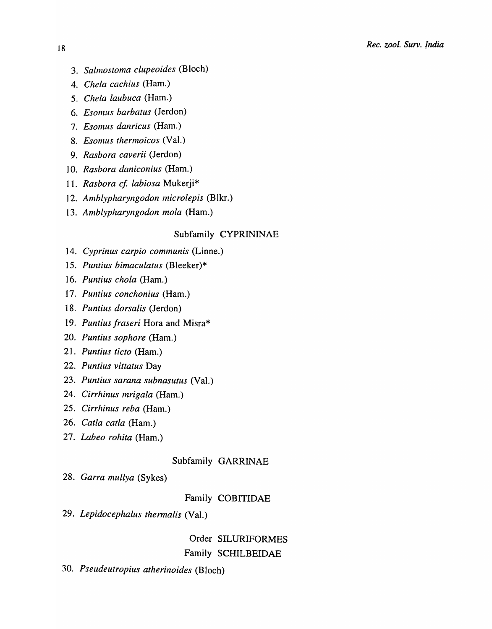- *3. Sabnostoma clupeoides* (Bloch)
- *4. Chela cachius* (Ham.)
- *5. Chela laubuca* (Ham.)
- **6. Esomus barbatus (Jerdon)**
- 7. Esomus danricus (Ham.)
- 8. Esomus thermoicos (Val.)
- *9. Rasbora caverii* (Jerdon)
- *10. Rasbora daniconius* (Ham.)
- 11. Rasbora cf. labiosa Mukerji\*
- 12. Amblypharyngodon microlepis (Blkr.)
- *13. Amblypharyngodon mola* (Ham.)

## Subfamily CYPRININAE

- 14. *Cyprinus carpio communis* (Linne.)
- 15. *Puntius bimaculatus* (Bleeker)\*
- 16. *Puntius chola* (Ham.)
- 17. *Puntius conchonius* (Ham.)
- 18. *Puntius dorsalis* (Jerdon)
- 19. *Puntius fraseri* Hora and Misra\*
- 20. *Puntius sophore* (Ham.)
- 21. *Puntius ticto* (Ham.)
- 22. *Puntius vittatus* Day
- 23. *Puntius sarana subnasutus* (Val.)
- 24. *Cirrhinus lnrigala* (Ham.)
- 25. *Cirrhinus reba* (Ham.)
- 26. *Catla catla* (Ham.)
- 27. *Labeo rohita* (Ham.)

## Subfamily GARRINAE

*28. Garra mullya* (Sykes)

# Family COBITIDAE

*29. Lepidocephalus thermalis* (Val.)

# Order SILURIFORMES Family SCHILBEIDAE

*30. Pseudeutropius atherinoides* (Bloch)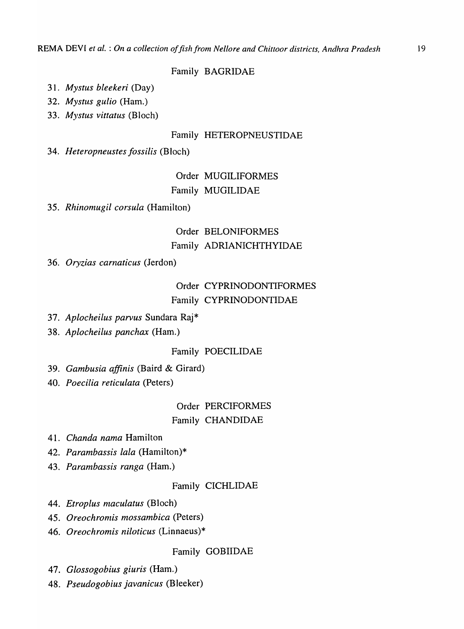## Family BAGRIDAE

- *31. Mystus bleekeri* (Day)
- *32. Mystus gulio* (Ham.)
- *33. Mystus vittatus* (Bloch)

## Family HETEROPNEUSTIDAE

*34. Heteropneustes tossiLis* (Bloch)

# Order MUGILIFORMES Family MUGILIDAE

35. *Rhinomugil corsula* (Hamilton)

# Order BELONIFORMES Family ADRIANICHTHYIDAE

### 36. *Oryzias carnaticus* (Jerdon)

# Order CYPRINODONTIFORMES Family CYPRINODONTIDAE

- 37. *Aplocheilus parvus* Sundara Raj\*
- 38. *Aplocheilus panchax* (Ham.)

## Family POECILIDAE

- 39. *Gambusia affinis* (Baird & Girard)
- 40. *Poecilia reticulata* (Peters)

# Order PERCIFORMES Family CHANDIDAE

- 41. *Chanda nama* Hamilton
- 42. *Parambassis lala* (Hamilton)\*
- 43. *Parambassis ranga* (Ham.)

## Family CICHLIDAE

- 44. *Etroplus maculatus* (Bloch)
- 45. *Oreochromis mossambica* (Peters)
- 46. *Oreochromis niloticus* (Linnaeus)\*

## Family GOBIIDAE

- 47. *Glossogobius giuris* (Ham.)
- 48. *Pseudogobius javanicus* (Bleeker)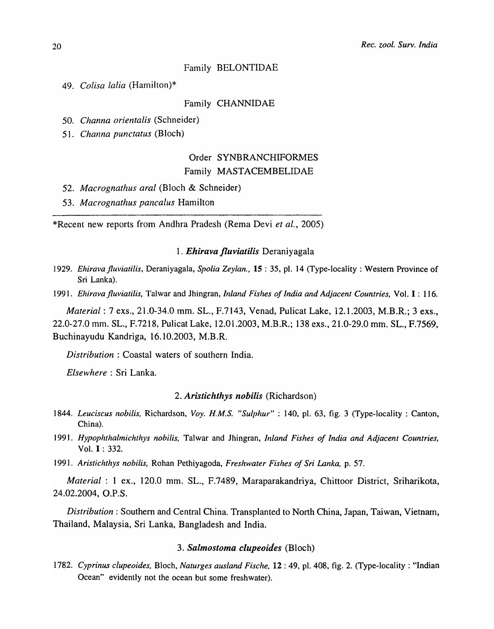### Family BELONTIDAE

*49. Colisa lalia* (Hamilton)\*

### Family CHANNIDAE

50. *Channa orientalis* (Schneider)

5]. *Channa punctatus* (Bloch)

# Order SYNBRANCHIFORMES Family MASTACEMBELIDAE

- 52. *Macrognathus aral* (Bloch & Schneider)
- *53. Macrognathus pancalus* Hamilton

\*Recent new reports from Andhra Pradesh (Rema Devi *et al.,* 2005)

### *1. Ehirava jluviatilis* Deraniyagala

*1929. Ehirava fluviatilis, Deraniyagala, Spolia Zeylan., 15 : 35, pl. 14 (Type-locality: Western Province of* Sri Lanka).

1991. *Ehirava fluviatilis*, Talwar and Jhingran, *Inland Fishes of India and Adjacent Countries*, Vol. I: 116.

*Material:* 7 exs., 21.0-34.0 mm. SL., F.7143, Venad, Pulicat Lake, 12.1.2003, M.B.R.; 3 exs., 22.0-27.0 mm. SL., F.7218, Pulicat Lake, 12.01.2003, M.B.R.; 138 exs., 21.0-29.0 mm. SL., F.7569, Buchinayudu Kandriga, 16.10.2003, M.B.R.

*Distribution:* Coastal waters of southern India.

*Elsewhere* : Sri Lanka.

### *2. Aristichthys nobilis* (Richardson)

- *1844. Leuciscus nobi/is.* Richardson, *Voy. H.M.S. "Sulphur"* : 140, pI. 63, fig. 3 (Type-locality: Canton, China).
- 1991. Hypophthalmichthys nobilis, Talwar and Jhingran, *Inland Fishes of India and Adjacent Countries*, Vol. I : 332.
- *1991. Aristichthys nobilis.* Rohan Pethiyagoda, *Freshwater Fishes of Sri Lanka,* p. 57.

*Material:* 1 ex., 120.0 mm. SL., F.7489, Maraparakandriya, Chittoor District, Sriharikota, 24.02.2004, O.P.S.

*Distribution:* Southern and Central China. Transplanted to North China, Japan, Taiwan, Vietnam, Thailand, Malaysia, Sri Lanka, Bangladesh and India.

### *3. Salmostoma clupeoides* (Bloch)

*1782. Cyprinus clupeoides.* Bloch, *Naturges ausland Fische.* 12 : 49, pI. 408, fig. 2. (Type-locality: "Indian Ocean" evidently not the ocean but some freshwater).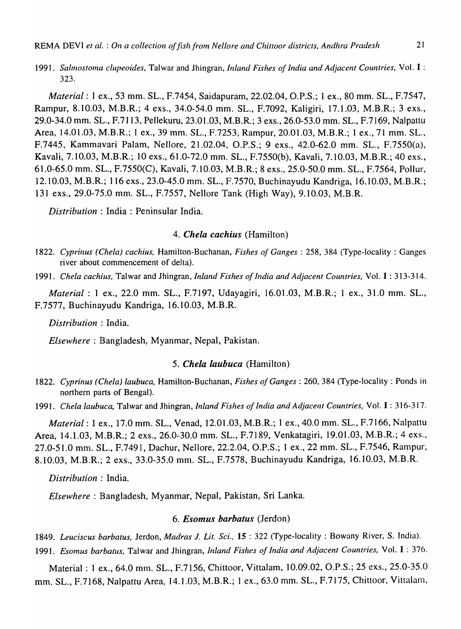*1991. Salmostoma clupeoides,* Talwar and Jhingran, *Inland Fishes of India and Adjacent Countries,* Vol. I : 323.

*Material:* 1 ex., 53 mm. SL., F.7454, Saidapuram, 22.02.04, O.P.S.; 1 ex., 80 mm. SL., F.7547, Rampur, 8.10.03, M.B.R.; 4 exs., 34.0-54.0 mm. SL., F.7092, Kaligiri, 17.1.03, M.B.R.; 3 exs., 29.0-34.0 mm. SL., P.7113, Pellekuru, 23.01.03, M.B.R.; 3 exs., 26.0-53.0 mm. SL., F.7169, Nalpattu Area, 14.01.03, M.B.R.; 1 ex., 39 mm. SL., F.7253, Rampur, 20.01.03, M.B.R.; 1 ex., 71 mm. SL., F.7445, Kammavari Palam, Nellore, 21.02.04, O.P.S.; 9 exs., 42.0-62.0 mm. SL., F.7550(a), Kavali, 7.10.03, M.B.R.; 10 exs., 61.0-72.0 mm. SL., F.7550(b), Kavali, 7.10.03, M.B.R.; 40 exs., 61.0-65.0 mm. SL., F.7550(C), Kavali, 7.10.03, M.B.R.; 8 exs., 25.0-50.0 mm. SL., F.7564, PoIlur, 12.10.03, M.B.R.; 116 exs., 23.0-45.0 mm. SL., F.7570, Buchinayudu Kandriga, 16.10.03, M.B.R.; 131 exs., 29.0-75.0 mm. SL., F.7557, Nellore Tank (High Way), 9.10.03, M.B.R.

*Distribution* : India: Peninsular India.

### *4. Chela each ius* (Hamilton)

*1822. Cyprinus (Chela) each ius,* Hamilton-Buchanan, *Fishes of Ganges:* 258, 384 (Type-locality: Ganges river about commencement of delta).

*1991. Chela cachius,* Talwar and Jhingran, *Inland Fishes of India and Adjacent Countries,* Vol. I : 313-314.

*Material:* 1 ex., 22.0 mm. SL., F.7197, Udayagiri, 16.01.03, M.B.R.; 1 ex., 31.0 mm. SL., F.7577, Buchinayudu Kandriga, 16.10.03, M.B.R.

*Distribution* : India.

*Elsewhere:* Bangladesh, Myanmar, Nepal, Pakistan.

### *5. Chela laubuca* (Hamilton)

*1822. Cyprinus (Chela) laubuca,* Hamilton-Buchanan, *Fishes of Ganges* : 260,384 (Type-locality: Ponds in northern parts of Bengal).

*1991. Chela laubuca,* Talwar and Jhingran, *Inland Fishes of India and Adjacent Countries,* Vol. I : 316-317.

*Material:* 1 ex., 17.0 mm. SL., Venad, 12.01.03, M.B.R.; 1 ex., 40.0 mm. SL., F.7166, Nalpattu Area, 14.1.03, M.B.R.; 2 exs., 26.0-30.0 mm. SL., F.7189, Venkatagiri, 19.01.03, M.B.R.; 4 exs., 27.0-51.0 mm. SL., F.7491, Dachur, Nellore, 22.2.04, O.P.S.; 1 ex., 22 mm. SL., F.7546, Rampur, 8.10.03, M.B.R.; 2 exs., 33.0-35.0 mm. SL., F.7578, Buchinayudu Kandriga, 16.10.03, M.B.R.

*Distribution* : India.

*Elsewhere:* Bangladesh, Myanmar, Nepal, Pakistan, Sri Lanka.

### *6. Esomus barbatus* (Jerdon)

*1849. Leuciscus barbatus,* Jerdon, *Madras* J. *Lit. Sci.,* 15 : 322 (Type-locality: Bowany River, S. India).

*1991. Esomus barbatus,* Talwar and Jhingran, *Inland Fishes of India and Adjacent Countries,* Vol. I : 376.

Material: 1 ex., 64.0 mm. SL., F.7156, Chittoor, Vittalam, 10.09.02, O.P.S.; 25 exs., 25.0-35.0 mm. SL., F.7168, Nalpattu Area, 14.1.03, M.B.R.; 1 ex., 63.0 mm. SL., F.7175, Chittoor, Vittalam,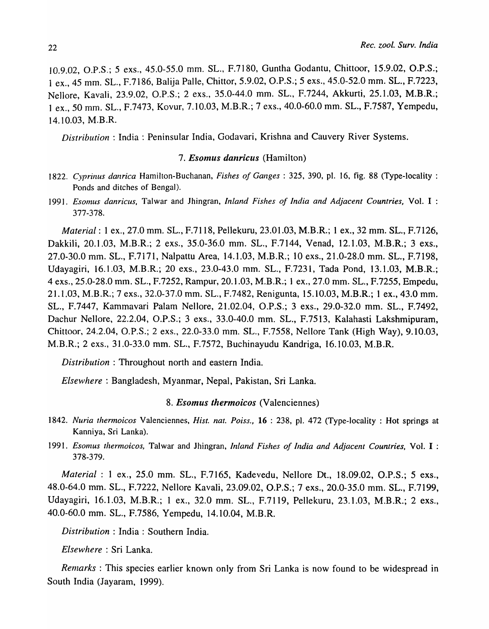10.9.02, O.P.S.; 5 exs., 45.0-55.0 mm. SL., F.7180, Guntha Godantu, Chittoor, 15.9.02, O.P.S.; 1 ex., 45 mm. SL., F.7186, Balija Palle, Chittor, 5.9.02, O.P.S.; 5 exs., 45.0-52.0 mm. SL., F.7223, Nellore, Kavali, 23.9.02, O.P.S.; 2 exs., 35.0-44.0 mm. SL., F.7244, Akkurti, 25.1.03, M.B.R.; 1 ex., 50 mm. SL., F.7473, Kovur, 7.10.03, M.B.R.; 7 exs., 40.0-60.0 mm. SL., F.7587, Yempedu, 14.10.03, M.B.R.

*Distribution:* India: Peninsular India, Godavari, Krishna and Cauvery River Systems.

### *7. Esomus danricus* (Hamilton)

- *1822. Cyprinus danrica* Hamilton-Buchanan, *Fishes of Ganges:* 325, 390, pI. 16, fig. 88 (Type-locality : Ponds and ditches of Bengal).
- *1991. Esomus dan ric us,* Tal war and Jhingran, *Inland Fishes of India and Adjacent Countries,* Vol. I : 377-378.

*Material:* 1 ex., 27.0 mm. SL., F.7118, Pellekuru, 23.01.03, M.B.R.; 1 ex., 32 mm. SL., F.7126, Dakkili, 20.1.03, M.B.R.; 2 exs., 35.0-36.0 mm. SL., F.7144, Venad, 12.1.03, M.B.R.; 3 exs., 27.0-30.0 mm. SL., F.717l, Nalpattu Area, 14.1.03, M.B.R.; 10 exs., 21.0-28.0 mm. SL., F.7198, Udayagiri, 16.1.03, M.B.R.; 20 exs., 23.0-43.0 mm. SL., F.7231, Tada Pond, 13.1.03, M.B.R.; 4 exs., 25.0-28.0 mm. SL., F.7252, Rampur, 20.1.03, M.B.R.; 1 ex., 27.0 mm. SL., F.7255, Empedu, 21.1.03, M.B.R.; 7 exs., 32.0-37.0 mm. SL., F.7482, Renigunta, 15.10.03, M.B.R.; 1 ex., 43.0 mm. SL., F.7447, Kammavari Palam Nellore, 21.02.04, O.P.S.; 3 exs., 29.0-32.0 mm. SL., F.7492, Dachur Nellore, 22.2.04, O.P.S.; 3 exs., 33.0-40.0 mm. SL., F.7513, Kalahasti Lakshmipuram, Chittoor, 24.2.04, O.P.S.; 2 exs., 22.0-33.0 mm. SL., F.7558, Nellore Tank (High Way), 9.10.03, M.B.R.; 2 exs., 31.0-33.0 mm. SL., F.7572, Buchinayudu Kandriga, 16.10.03, M.B.R.

*Distribution* : Throughout north and eastern India.

*Elsewhere* : Bangladesh, Myanmar, Nepal, Pakistan, Sri Lanka.

### *8. Esomus thermoicos* (Valenciennes)

- *1842. Nuria thermoicos* Valenciennes, *Hist. nat. Poiss.,* **16** : 238, pI. 472 (Type-locality: Hot springs at Kanniya, Sri Lanka).
- 1991. *Esomus thermoicos,* Talwar and Jhingran, *Inland Fishes of India and Adjacent Countries,* Vol. I : 378-379.

*Material:* 1 ex., 25.0 mm. SL., F.7165, Kadevedu, Nellore Dt., 18.09.02, O.P.S.; 5 exs., 48.0-64.0 mm. SL., F.7222, Nellore Kavali, 23.09.02, O.P.S.; 7 exs., 20.0-35.0 mm. SL., F.7199, Udayagiri, 16.1.03, M.B.R.; 1 ex., 32.0 mm. SL., F.7119, Pellekuru, 23.1.03, M.B.R.; 2 exs., 40.0-60.0 mm. SL., F.7586, Yempedu, 14.10.04, M.B.R.

*Distribution* : India : Southern India.

*Elsewhere* : Sri Lanka.

*Remarks* : This species earlier known only from Sri Lanka is now found to be widespread in South India (Jayaram, 1999).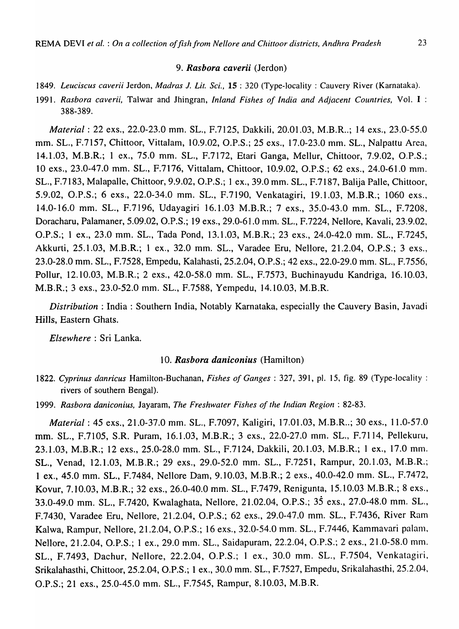### *9. Rasbora caverii* (Jerdon)

- *1849. Leuciscus caverii* Jerdon, *Madras* 1. *Lit. Sci.,* 15 ; 320 (Type-locality; Cauvery River (Karnataka).
- 1991. *Rasbora caverii,* Talwar and Jhingran, *Inland Fishes of India and Adjacent Countries,* Vol. I : 388-389.

*Material: 22 exs., 22.0-23.0 mm. SL., F.7125, Dakkili, 20.01.03, M.B.R..; 14 exs., 23.0-55.0* mm. SL., F.7157, Chittoor, Vittalam, 10.9.02, *D.P.S.;* 25 exs., 17.0-23.0 mm. SL., Nalpattu Area, 14.1.03, M.B.R.; 1 ex., 75.0 mm. SL., F.7172, Etari Ganga, Mellur, Chittoor, 7.9.02, *D.P.S.;*  10 exs., 23.0-47.0 mm. SL., F.7176, Vittalam, Chittoor, 10.9.02, *D.P.S.;* 62 exs., 24.0-61.0 mm. SL., F.7183, Malapalle, Chittoor, 9.9.02, *D.P.S.;* 1 ex., 39.0 mm. SL., F.7187, Balija Palle, Chittoor, *5.9.02, D.P.S.;* 6 exs., 22.0-34.0 mm. SL., F.7190, Venkatagiri, 19.1.03, M.B.R.; 1060 exs., 14.0-16.0 mm. SL., F.7196, Udayagiri 16.1.03 M.B.R.; 7 exs., 35.0-43.0 mm. SL., F.7208, Doracharu, Palamaner, 5.09.02, *D.P.S.;* 19 exs., 29.0-61.0 mm. SL., F.7224, Nellore, Kavali, 23.9.02, O.P.S.; 1 ex., 23.0 mm. SL., Tada Pond, 13.1.03, M.B.R.; 23 exs., 24.0-42.0 mm. SL., F.7245, Akkurti, 25.1.03, M.B.R.; 1 ex., 32.0 mm. SL., Varadee Eru, Nellore, 21.2.04, O.P.S.; 3 exs., 23.0-28.0 mm. SL., F.7528, Empedu, Kalahasti, 25.2.04, *D.P.S.;* 42 exs., 22.0-29.0 mm. SL., F.7556, Pollur, 12.10.03, M.B.R.; 2 exs., 42.0-58.0 mm. SL., F.7573, Buchinayudu Kandriga, 16.10.03, M.B.R.; 3 exs., 23.0-52.0 mm. SL., F.7588, Yempedu, 14.10.03, M.B.R.

*Distribution:* India: Southern India, Notably Karnataka, especially the Cauvery Basin, Javadi Hills, Eastern Ghats.

*Elsewhere:* Sri Lanka.

### *10. Rasbora daniconius* (Hamilton)

1822. *Cyprinus danricus* Hamilton-Buchanan, *Fishes of Ganges;* 327,391, pI. 15, fig. 89 (Type-locality: rivers of southern Bengal).

1999. *Rasbora dan icon ius,* Jayaram, *The Freshwater Fishes of the Indian Region;* 82-83.

*Material*: 45 exs., 21.0-37.0 mm. SL., F.7097, Kaligiri, 17.01.03, M.B.R..; 30 exs., 11.0-57.0 mm. SL., F.7105, S.R. Puram, 16.1.03, M.B.R.; 3 exs., 22.0-27.0 mm. SL., F.7114, Pellekuru, 23.1.03, M.B.R.; 12 exs., 25.0-28.0 mm. SL., F.7124, Dakkili, 20.1.03, M.B.R.; 1 ex., 17.0 mm. SL., Venad, 12.1.03, M.B.R.; 29 exs., 29.0-52.0 mm. SL., F.7251, Rampur, 20.1.03, M.B.R.; 1 ex., 45.0 mm. SL., F.7484, Nellore Dam, 9.10.03, M.B.R.; 2 exs., 40.0-42.0 mm. SL., F.7472, Kovur, 7.10.03, M.B.R.; 32 exs., 26.0-40.0 mm. SL., F.7479, Renigunta, 15.10.03 M.B.R.; 8 exs., 33.0-49.0 mm. SL., F.7420, Kwalaghata, Nellore, 21.02.04, *D.P.S.;* 35 exs., 27.0-48.0 mm. SL., F.7430, Varadee Eru, Nellore, 21.2.04, O.P.S.; 62 exs., 29.0-47.0 mm. SL., F.7436, River Ram Kalwa, Rampur, Nellore, 21.2.04, *D.P.S.;* 16 exs., 32.0-54.0 mm. SL., F.7446, Kammavari palanl, Nellore, 21.2.04, *D.P.S.;* 1 ex., 29.0 mm. SL., Saidapuram, 22.2.04, *D.P.S.;* 2 exs., 21.0-58.0 mm. SL., F.7493, Dachur, Nellore, 22.2.04, *D.P.S.;* 1 ex., 30.0 mm. SL., F.7504, Venkatagiri, Srikalahasthi, Chittoor, 25.2.04, *D.P.S.;* 1 ex., 30.0 mm. SL., F.7527, Empedu, Srikalahasthi, 25.2.04, *D.P.S.;* 21 exs., 25.0-45.0 mm. SL., F.7545, Rampur, 8.10.03, M.B.R.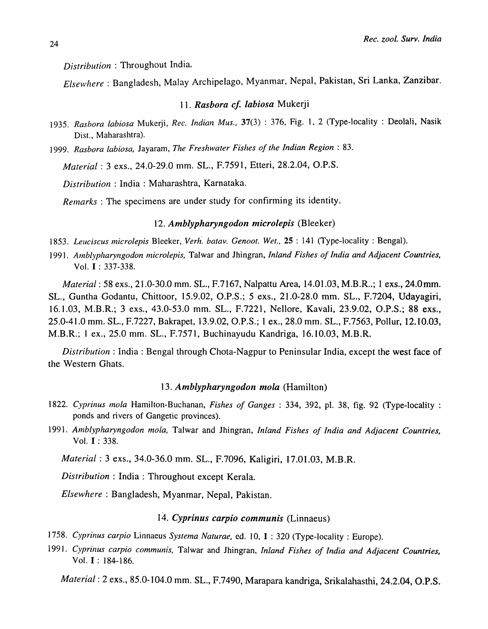*Distribution* : Throughout India.

*Elsewhere:* Bangladesh, Malay Archipelago, Myanmar, Nepal, Pakistan, Sri Lanka, Zanzibar.

### *11. Rasbora cJ. labiosa* Mukerji

- *1935. Rasbora labiosa* Mukerji, *Rec. Indian Mus.,* 37(3) : 376, Fig. 1, 2 (Type-locality : Deolali, Nasik Dist., Maharashtra).
- *1999. Rasbora labiosa,* Jayaram, *The Freshwater Fishes of the Indian Region: 83.*

*Material:* 3 exs., 24.0-29.0 mm. SL., F.7591, Etteri, 28.2.04, O.P.S.

*Distribution* : India: Maharashtra, Karnataka.

*Remarks* : The specimens are under study for confirming its identity.

### 12. Amblypharyngodon microlepis (Bleeker)

1853. Leuciscus microlepis Bleeker, Verh. batav. Genoot. Wet., 25: 141 (Type-locality: Bengal).

1991. Amblypharyngodon microlepis, Talwar and Jhingran, *Inland Fishes of India and Adjacent Countries*, Vol. I : 337-338.

*Material*: 58 exs., 21.0-30.0 mm. SL., F.7167, Nalpattu Area, 14.01.03, M.B.R..; 1 exs., 24.0 mm. SL., Guntha Godantu, Chittoor, 15.9.02, O.P.S.; 5 exs., 21.0-28.0 mm. SL., F.7204, Udayagiri, 16.1.03, M.B.R.; 3 exs., 43.0-53.0 mm. SL., F.7221, Nellore, Kavali, 23.9.02, O.P.S.; 88 exs., 25.0-41.0 mm. SL., F.7227, Bakrapet, 13.9.02, O.P.S.; 1 ex., 28.0 mm. SL., F.7563, PolIur, 12.10.03, M.B.R.; 1 ex., 25.0 mm. SL., F.7571, Buchinayudu Kandriga, 16.10.03, M.B.R.

*Distribution:* India: Bengal through Chota-Nagpur to Peninsular India, except the west face of the Western Ghats.

### *13. Amblypharyngodon mola* (Hamilton)

- *1822. Cyprinus mola* Hamilton-Buchanan, *Fishes of Ganges* : 334, 392, pI. 38, fig. 92 (Type-locality : ponds and rivers of Gangetic provinces).
- *1991. Amblypharyngodon mola,* Talwar and Jhingran, *Inland Fishes of India and Adjacent Countries,*  Vol. I : 338.

*Material:* 3 exs., 34.0-36.0 mm. SL., F.7096, Kaligiri, 17.01.03, M.B.R.

*Distribution:* India: Throughout except Kerala.

*Elsewhere:* Bangladesh, Myanmar, Nepal, Pakistan.

### *14. Cyprinus carpio communis* (Linnaeus)

- 1758. Cyprinus carpio Linnaeus Systema Naturae, ed. 10, 1: 320 (Type-locality: Europe).
- *1991. Cyprinus carpio communis,* Talwar and Jhingran, *Inland Fishes of India and Adjacent Countries,*  Vol. I : 184-186.

*Material:* 2 exs., 85.0-104.0 mm. SL., F.7490, Marapara kandriga, Srikalahasthi, 24.2.04, O.P.S.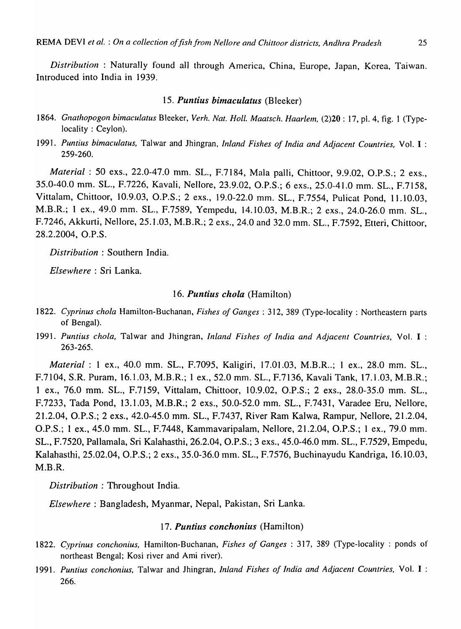*Distribution* : Naturally found all through America, China, Europe, Japan, Korea, Taiwan. Introduced into India in 1939.

### *15. Puntius bimaculatus* (Bleeker)

- 1864. Gnathopogon bimaculatus Bleeker, *Verh. Nat. Holl. Maatsch. Haarlem, (2)20* : 17, pl. 4, fig. 1 (Typelocality: Ceylon).
- 1991. Puntius bimaculatus, Talwar and Jhingran, *Inland Fishes of India and Adjacent Countries*, Vol. I : 259-260.

*Material:* 50 exs., 22.0-47.0 mm. SL., F.7184, Mala palli, Chittoor, 9.9.02, O.P.S.; 2 exs., 35.0-40.0 mm. SL., F.7226, Kavali, Nellore, 23.9.02, O.P.S.; 6 exs., 25.0-41.0 mm. SL., F.7158, Vittalam, Chittoor, 10.9.03, O.P.S.; 2 exs., 19.0-22.0 mm. SL., F.7554, Pulicat Pond, 11.10.03, M.B.R.; 1 ex., 49.0 mm. SL., F.7589, Yempedu, 14.10.03, M.B.R.; 2 exs., 24.0-26.0 mm. SL., F.7246, Akkurti, Nellore, 25.1.03, M.B.R.; 2 exs., 24.0 and 32.0 mm. SL., F.7592, Etteri, Chittoor, 28.2.2004, O.P.S.

*Distribution* : Southern India.

*Elsewhere* : Sri Lanka.

### *16. Puntius chola* (Hamilton)

- *1822. Cyprinus chola* Hamilton-Buchanan, *Fishes of Ganges:* 312, 389 (Type-locality: Northeastern parts of Bengal).
- 1991. Puntius chola, Talwar and Jhingran, *Inland Fishes of India and Adjacent Countries*, Vol. I : 263-265.

*Material*: 1 ex., 40.0 mm. SL., F.7095, Kaligiri, 17.01.03, M.B.R..; 1 ex., 28.0 mm. SL., F.7104, S.R. Puram, 16.1.03, M.B.R.; 1 ex., 52.0 mm. SL., F.7136, Kavali Tank, 17.1.03, M.B.R.; 1 ex., 76.0 mm. SL., F.7159, Vittalam, Chittoor, 10.9.02, O.P.S.; 2 exs., 28.0-35.0 mm. SL., F.7233, Tada Pond, 13.1.03, M.B.R.; 2 exs., 50.0-52.0 mm. SL., F.743J, Varadee Eru, Nellore, 21.2.04, O.P.S.; 2 exs., 42.0-45.0 mm. SL., F.7437, River Ram Kalwa, Rampur, Nellore, 21.2.04, O.P.S.; 1 ex., 45.0 mm. SL., F.7448, Kammavaripalam, Nellore, 21.2.04, O.P.S.; 1 ex., 79.0 mm. SL., F.7520, Pallamala, Sri Kalahasthi, 26.2.04, O.P.S.; 3 exs., 45.0-46.0 mm. SL., F.7529, Empedu, Kalahasthi, 25.02.04, O.P.S.; 2 exs., 35.0-36.0 mm. SL., F.7576, Buchinayudu Kandriga, 16.10.03, M.B.R.

*Distribution;* Throughout India.

*Elsewhere:* Bangladesh, Myanmar, Nepal, Pakistan, Sri Lanka.

### *17. Puntius conchonius* (Hamilton)

- *1822. Cyprinus conchonius,* Hamilton-Buchanan, *Fishes of Ganges* : 317, 389 (Type-locality : ponds of northeast Bengal; Kosi river and Ami river).
- *1991. Puntius conchonius,* Talwar and Jhingran, *Inland Fishes of India and Adjacent Countries,* Vol. I : 266.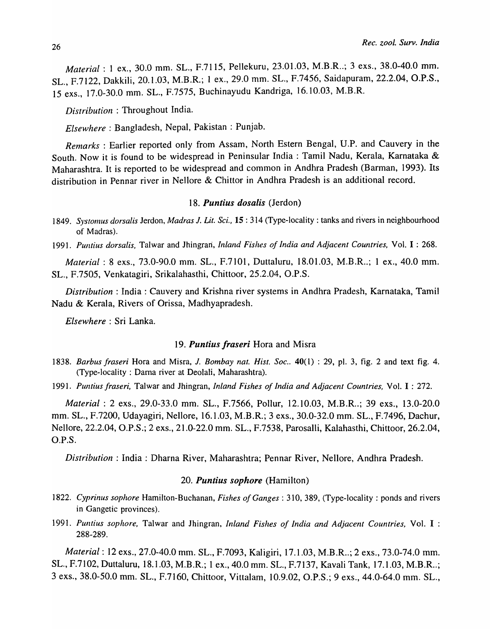*Material*: 1 ex., 30.0 mm. SL., F.7115, Pellekuru, 23.01.03, M.B.R..; 3 exs., 38.0-40.0 mm. SL., F.7122, Dakkili, 20.1.03, M.B.R.; 1 ex., 29.0 mm. SL., F.7456, Saidapuram, 22.2.04, O.P.S., 15 exs., 17.0-30.0 mm. SL., F.7575, Buchinayudu Kandriga, 16.10.03, M.B.R.

*Distribution* : Throughout India.

*Elsewhere:* Bangladesh, Nepal, Pakistan : Punjab.

*Remarks:* Earlier reported only from Assam, North Estern Bengal, U.P. and Cauvery in the South. Now it is found to be widespread in Peninsular India: Tamil Nadu, Kerala, Karnataka & Maharashtra. It is reported to be widespread and common in Andhra Pradesh (Barman, 1993). Its distribution in Pennar river in Nellore & Chittor in Andhra Pradesh is an additional record.

### *18. Puntius dosalis* (Jerdon)

- *1849. Systomus dorsalis* Jerdon, *Madras* J. *Lit. Sci.,* 15 : 314 (Type-locality: tanks and rivers in neighbourhood of Madras).
- *1991. PUl1tius dorsalis,* Talwar and Jhingran, *Inland Fishes of India and Adjacent Countries,* Vo1. I : 268.

*Material: 8 exs., 73.0-90.0 mm. SL., F.7101, Duttaluru, 18.01.03, M.B.R..; 1 ex., 40.0 mm.* SL., F.7505, Venkatagiri, Srikalahasthi, Chittoor, 25.2.04, *D.P.S.* 

*Distribution:* India: Cauvery and Krishna river systems in Andhra Pradesh, Karnataka, Tamil Nadu & Kerala, Rivers of Orissa, Madhyapradesh.

*Elsewhere:* Sri Lanka.

### *19. Puntius fraseri* Hora and Misra

1838. *Barbus fraseri* Hora and Misra, *J. Bombay nat. Hist. Soc.*. 40(1): 29, pl. 3, fig. 2 and text fig. 4. (Type-locality: Darna river at Deolali, Maharashtra).

*1991. Puntius fraseri,* Talwar and Jhingran, *Inland Fishes of India and Adjacent Countries,* Vol. I : 272.

*Material: 2 exs., 29.0-33.0 mm. SL., F.7566, Pollur, 12.10.03, M.B.R..; 39 exs., 13.0-20.0* mm. SL., F.7200, Udayagiri, Nellore, 16.1.03, M.B.R.; 3 exs., 30.0-32.0 mm. SL., F.7496, Dachur, Nellore, 22.2.04, *D.P.S.;* 2 exs., 21.0-22.0 mm. SL., F.7538, Parosalli, Kalahasthi, Chittoor, 26.2.04, *D.P.S.* 

*Distribution: India: Dharna River, Maharashtra; Pennar River, Nellore, Andhra Pradesh.* 

### *20. Puntius sophore* (Hamilton)

- *1822. Cyprinus sophore* Hamilton-Buchanan, *Fishes of Ganges:* 310, 389, (Type-locality: ponds and rivers in Gangetic provinces).
- *1991. PUll/ius sophore,* Talwar and Jhingran, *Inland Fishes of India and Adjacent Countries,* Vol. I : 288-289.

*Material: 12 exs., 27.0-40.0 mm. SL., F.7093, Kaligiri, 17.1.03, M.B.R..; 2 exs., 73.0-74.0 mm.* SL., F.7102, Duttaluru, 18.1.03, M.B.R.; 1 ex., 40.0 mm. SL., F.7137, Kavali Tank, 17.1.03, M.B.R..; 3 exs., 38.0-50.0 mm. SL., F.7160, Chittoor, Vittalam, 10.9.02, O.P.S.; 9 exs., 44.0-64.0 mm. SL.,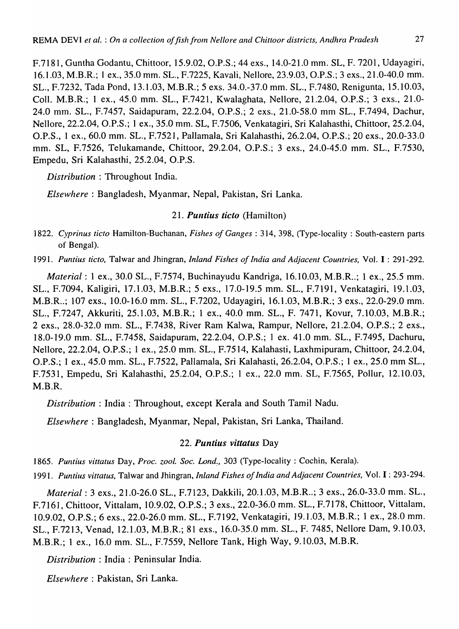F.7181, Guntha Godantu, Chittoor, 15.9.02, O.P.S.; 44 exs., 14.0-21.0 mm. SL, F. 7201, Udayagiri, 16.1.03, M.B.R.; 1 ex., 35.0 mm. SL., F.7225, Kavali, Nellore, 23.9.03, O.P.S.; 3 exs., 21.0-40.0 mm. SL., F.7232, Tada Pond, 13.1.03, M.B.R.; 5 exs. 34.0.-37.0 mm. SL., F.7480, Renigunta, 15.10.03, ColI. M.B.R.; 1 ex., 45.0 mm. SL., F.7421, Kwalaghata, Nellore, 21.2.04, O.P.S.; 3 exs., 21.0- 24.0 mm. SL., F.7457, Saidapuram, 22.2.04, O.P.S.; 2 exs., 21.0-58.0 mm SL., F.7494, Dachur, Nellore, 22.2.04, O.P.S.; 1 ex., 35.0 mm. SL, F.7506, Venkatagiri, Sri Kalahasthi, Chittoor, 25.2.04, O.P.S., 1 ex., 60.0 mm. SL., F.7521, Pallamala, Sri Kalahasthi, 26.2.04, O.P.S.; 20 exs., 20.0-33.0 mm. SL, F.7526, Telukamande, Chittoor, 29.2.04, O.P.S.; 3 exs., 24.0-45.0 mm. SL., F.7530, Empedu, Sri Kalahasthi, 25.2.04, O.P.S.

*Distribution* : Throughout India.

*Elsewhere:* Bangladesh, Myanmar, Nepal, Pakistan, Sri Lanka.

21. *Puntius ticto* (Hamilton)

1822. Cyprinus ticto Hamilton-Buchanan, *Fishes of Ganges*: 314, 398, (Type-locality: South-eastern parts of Bengal).

*1991. Puntius tic to,* Talwar and Jhingran, *Inland Fishes of India and Adjacent Countries,* Vol. I : 291-292.

*Material*: 1 ex., 30.0 SL., F.7574, Buchinayudu Kandriga, 16.10.03, M.B.R..; 1 ex., 25.5 mm. SL., F.7094, Kaligiri, 17.1.03, M.B.R.; 5 exs., 17.0-19.5 mm. SL., F.7191, Venkatagiri, 19.1.03, M.B.R..; 107 exs., 10.0-16.0 mm. SL., F.7202, Udayagiri, 16.1.03, M.B.R.; 3 exs., 22.0-29.0 mm. SL., F.7247, Akkuriti, 25.1.03, M.B.R.; 1 ex., 40.0 mm. SL., F. 7471, Kovur, 7.10.03, M.B.R.; 2 exs., 28.0-32.0 mm. SL., F.7438, River Ram Kalwa, Rampur, Nellore, 21.2.04, O.P.S.; 2 exs., 18.0-19.0 mm. SL., F.7458, Saidapuram, 22.2.04, O.P.S.; 1 ex. 41.0 mm. SL., F.7495, Dachuru, Nellore, 22.2.04, O.P.S.; 1 ex., 25.0 mm. SL., F.7514, Kalahasti, Laxhmipuram, Chittoor, 24.2.04, O.P.S.; 1 ex., 45.0 mm. SL., F.7522, Pallamala, Sri Kalahasti, 26.2.04, O.P.S.; 1 ex., 25.0 mm SL., F.7531, Empedu, Sri Kalahasthi, 25.2.04, O.P.S.; 1 ex., 22.0 mm. SL, F.7565, Pollur, 12.10.03, M.B.R.

*Distribution* : India: Throughout, except Kerala and South Tamil Nadu.

*Elsewhere:* Bangladesh, Myanmar, Nepal, Pakistan, Sri Lanka, Thailand.

### 22. *Puntius vittatus* Day

*1865. Puntius vittatus* Day, *Proc. zool. Soc. Land:,* 303 (Type-locality: Cochin, Kerala).

1991. Puntius vittatus, Talwar and Jhingran, *Inland Fishes of India and Adjacent Countries*, Vol. I: 293-294.

*Material:* 3 exs., 21.0-26.0 SL., F.7123, Dakkili, 20.1.03, M.B.R .. ; 3 exs., 26.0-33.0 mm. SL., F. 7161, Chittoor, Vittalam, 10.9.02, O.P.S.; 3 exs., 22.0-36.0 mm. SL., F.7178, Chittoor, Vittalam, 10.9.02, O.P.S.; 6 exs., 22.0-26.0 mm. SL., F.7192, Venkatagiri, 19.1.03, M.B.R.; 1 ex., 28.0 mm. SL., F.7213, Venad, 12.1.03, M.B.R.; 81 exs., 16.0-35.0 mm. SL., F. 7485, Nellore Dam, 9.10.03, M.B.R.; 1 ex., 16.0 mm. SL., F.7559, Nellore Tank, High Way, 9.10.03, M.B.R.

*Distribution:* India: Peninsular India.

*Elsewhere:* Pakistan, Sri Lanka.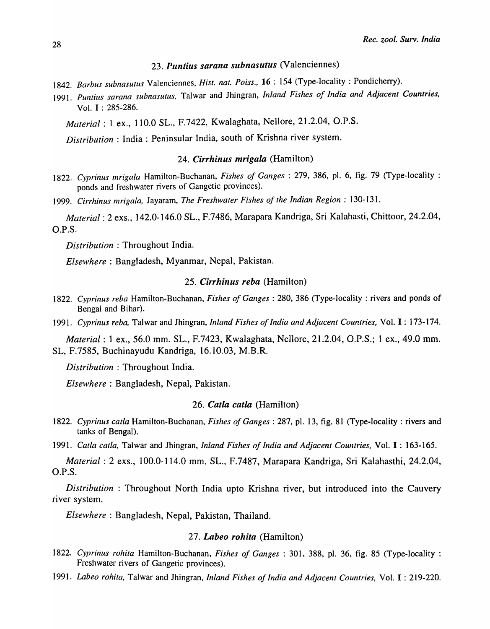# 23. Puntius sarana subnasutus (Valenciennes)

- *1842. Barbus subnasutus* Valenciennes, *Hist. nat. Poiss.,* 16 : 154 (Type-locality: Pondicherry).
- 1991. Puntius sarana subnasutus, Talwar and Jhingran, *Inland Fishes of India and Adjacent Countries*, Vol. I : 285-286.

*Material:* 1 ex., 110.0 SL., F.7422, Kwalaghata, Nellore, 21.2.04, *D.P.S.* 

*Distribution* : India: Peninsular India, south of Krishna river system.

### *24. Cirrhinus mrigala* (Hamilton)

*1822. Cyprinus mrigala* Hamilton-Buchanan, *Fishes of Ganges:* 279, 386, pI. 6, fig. 79 (Type-locality : ponds and freshwater rivers of Gangetic provinces).

*1999. Cirrhinus mrigala,* Jayaram, *The Freshwater Fishes of the Indian Region: 130-131.* 

*Material:* 2 exs., 142.0-146.0 SL., F.7486, Marapara Kandriga, Sri Kalahasti, Chittoor, 24.2.04, *D.P.S.* 

*Distribution* : Throughout India.

*Elsewhere:* Bangladesh, Myanmar, Nepal, Pakistan.

### *25. Cirrhinus reba* (Hamilton)

*1822. Cyprinus reba* Hamilton-Buchanan, *Fishes of Ganges:* 280, 386 (Type-locality: rivers and ponds of Bengal and Bihar).

*1991. Cyprinus reba,* Talwar and Jhingran, *Inland Fishes of India and Adjacent Countries,* Vol. I : 173-174.

*Material*: 1 ex., 56.0 mm. SL., F.7423, Kwalaghata, Nellore, 21.2.04, O.P.S.; 1 ex., 49.0 mm. SL, F.7585, Buchinayudu Kandriga, 16.10.03, M.B.R.

*Distribution* : Throughout India.

*Elsewhere:* Bangladesh, Nepal, Pakistan.

### *26. Catla catla* (Hamilton)

*1822. Cyprinus catla* Hamilton-Buchanan, *Fishes of Ganges:* 287, pI. 13, fig. 81 (Type-locality: rivers and tanks of Bengal).

*1991. Catla catla,* Talwar and Jhingran, *Inland Fishes of India and Adjacent Countries,* Vol. I : 163-165.

*Material:* 2 exs., 100.0-114.0 mm. SL., F.7487, Marapara Kandriga, Sri Kalahasthi, 24.2.04, D.P.S.

*Distribution* : Throughout North India upto Krishna river, but introduced into the Cauvery river system.

*Elsewhere:* Bangladesh, Nepal, Pakistan, Thailand.

### *27. Labeo rohita* (Hamilton)

- *1822. Cyprinus rohita* Hamilton-Buchanan, *Fishes of Ganges:* 301, 388, pI. 36, fig. 85 (Type-locality: Freshwater rivers of Gangetic provinces).
- *1991. Labeo rohita,* Talwar and Jhingran, *Inland Fishes of India and Adjacent Countries,* Vol. I : 219-220.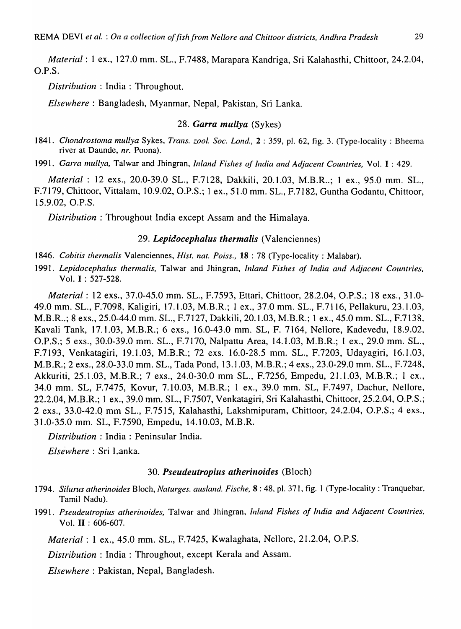*Material:* I ex., 127.0 mm. SL., F.7488, Marapara Kandriga, Sri Kalahasthi, Chittoor, 24.2.04, O.P.S.

*Distribution* : India: Throughout.

*Elsewhere:* Bangladesh, Myanmar, Nepal, Pakistan, Sri Lanka.

### *28. Garra mullya* (Sykes)

*1841. CllOndrostoma mullya* Sykes, *Trans. zool. Soc. Lond.,* 2 : 359, pI. 62, fig. 3. (Type-locality: Bheema river at Daunde, *nr.* Poona).

*1991. Garra mul/ya,* Talwar and Jhingran, *Inland Fishes of India and Adjacent Countries,* Vol. I : 429.

*Material*: 12 exs., 20.0-39.0 SL., F.7128, Dakkili, 20.1.03, M.B.R..; 1 ex., 95.0 mm. SL., F.7179, Chittoor, Vittalam, 10.9.02, O.P.S.; I ex., 51.0 mm. SL., F.7182, Guntha Godantu, Chittoor, 15.9.02, O.P.S.

*Distribution* : Throughout India except Assam and the Himalaya.

# *29. Lepidocephalus thermalis* (Valenciennes)

- *1846. Cobitis thermalis* Valenciennes, *Hist. nat. Poiss.,* 18 : 78 (Type-locality: Malabar).
- *1991. Lepidocephalus thermalis,* Talwar and Jhingran, *Inland Fishes of India and Adjacent Countries,*  Vol. I : 527-528.

*Material:* 12 exs., 37.0-45.0 mm. SL., F.7593, Ettari, Chittoor, 28.2.04, O.P.S.; 18 exs., 31.0- 49.0 mm. SL., F.7098, Kaligiri, 17.1.03, M.B.R.; 1 ex., 37.0 mm. SL., F.7116, Pellakuru, 23.1.03, M.B.R .. ; 8 exs., 25.0-44.0 mm. SL., F.7127, Dakkili, 20.1.03, M.B.R.; 1 ex., 45.0 mm. SL., F.7138, Kavali Tank, 17.1.03, M.B.R.; 6 exs., 16.0-43.0 mm. SL, F. 7164, Nellore, Kadevedu, 18.9.02, O.P.S.; 5 exs., 30.0-39.0 mm. SL., F.7170, Nalpattu Area, 14.1.03, M.B.R.; 1 ex., 29.0 mm. SL., F.7193, Venkatagiri, 19.1.03, M.B.R.; 72 exs. 16.0-28.5 mm. SL., F.7203, Udayagiri, 16.1.03, M.B.R.; 2 exs., 28.0-33.0 mm. SL., Tada Pond, 13.1.03, M.B.R.; 4 exs., 23.0-29.0 mm. SL., F.7248, Akkuriti, 25.1.03, M.B.R.; 7 exs., 24.0-30.0 mm SL., F.7256, Empedu, 21.1.03, M.B.R.; 1 ex., 34.0 mm. SL, F.7475, Kovur, 7.10.03, M.B.R.; 1 ex., 39.0 mm. SL, F.7497, Dachur, Nellore, 22.2.04, M.B.R.; 1 ex., 39.0 mm. SL., F.7507, Venkatagiri, Sri Kalahasthi, Chittoor, 25.2.04, O.P.S.; 2 exs., 33.0-42.0 mm SL., F.7515, Kalahasthi, Lakshmipuram, Chittoor, 24.2.04, O.P.S.; 4 exs., 31.0-35.0 mm. SL, F.7590, Empedu, 14.10.03, M.B.R.

*Distribution* : India: Peninsular India.

*Else'whe re* : Sri Lanka.

### *30. Pseudeutropius atherinoides* (Bloch)

- *1794. Silurus atherinoides* Bloch, *Naturges. ausland. Fische,* 8 : 48, pI. 371, fig. 1 (Type-locality: Tranquebar. Tamil Nadu).
- *1991. Pseudeutropius atherinoides,* Talwar and Jhingran, *Inland Fishes of India and Adjacent Countries.*  Vol. **II** : 606-607.

*Material:* 1 ex., 45.0 mm. SL., F.7425, Kwalaghata, Nellore, 21.2.04, O.P.S.

*Distribution:* India: Throughout, except Kerala and Assam.

*Elsewhere:* Pakistan, Nepal, Bangladesh.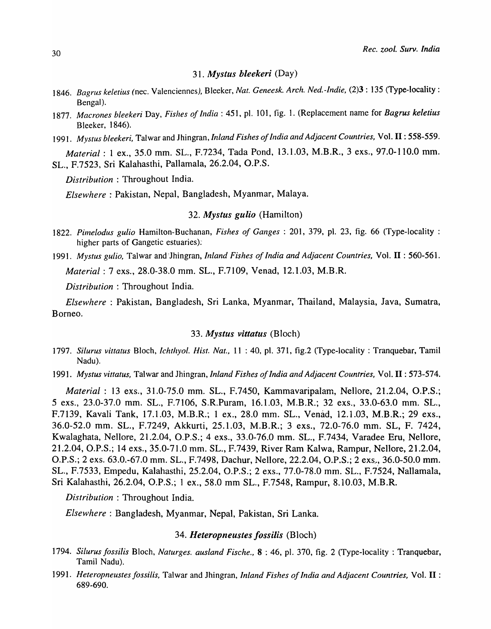### *31. Mystus bleekeri* (Day)

- *1846. Bagrus keletius* (nee. Valenciennes), Bleeker, *Nat. Geneesk. Arch. Ned.-Indie,* (2)3 : 135 (Type-locality: Bengal).
- *1877. Mao"ones bleekeri* Day, *Fishes of India* : 451, pl. 101, fig. 1. (Replacement name for *Bagrus keletius*  Bleeker, 1846).
- *1991. Mystus bleeker;,* Talwar and Jhingran, *Inland Fishes of India and Adjacent Countries,* Vol. **II:** 558-559.

*Material:* 1 ex., 35.0 mm. SL., F.7234, Tada Pond, 13.1.03, M.B.R., 3 exs., 97.0-110.0 mm. SL., F.7523, Sri Kalahasthi, Pallamala, 26.2.04, O.P.S.

*Distribution* : Throughout India.

*Elsewhere:* Pakistan, Nepal, Bangladesh, Myanmar, Malaya.

### *32. Mystus gulio* (Hamilton)

- *1822. Pimelodus gulio* Hamilton-Buchanan, *Fishes of Ganges:* 201, 379, pI. 23, fig. 66 (Type-locality: higher parts of Gangetic estuaries):
- *1991. Mystus gulio,* Talwar and'lhingran, *Inland Fishes of India and Adjacent Countries,* Vol. **II** : 560-561.

*Material:* 7 exs., 28.0-38.0 mm. SL., F.7109, Venad, 12.1.03, M.B.R.

*Distribution* : Throughout India.

*Elsewhere* : Pakistan, Bangladesh, Sri Lanka, Myanmar, Thailand, Malaysia, Java, Sumatra, Borneo.

### *33. Mystus vittatus* (Bloch)

*1797. Silurus vittatus* Bloch, *Ichtlzyol. Hist. Nat.,* 11 : 40, pI. 371, fig.2 (Type-locality: Tranquebar, Tamil Nadu).

*1991. Mystus vittatus,* Talwar and Jhingran, *Inland Fishes of India and Adjacent Countries,* Vol. **II:** 573-574.

*Material:* 13 exs., 31.0-75.0 mm. SL., F.7450, Kammavaripalam, Nellore, 21.2.04, *D.P.S.;*  5 exs., 23.0-37.0 mm. SL., F.7106, S.R.Puram, 16.1.03, M.B.R.; 32 exs., 33.0-63.0 mm. SL., F.7139, Kavali Tank, 17.1.03, M.B.R.; 1 ex., 28.0 mm. SL., Venad, 12.1.03, M.B.R.; 29 exs., 36.0-52.0 mm. SL., F.7249, Akkurti, 25.1.03, M.B.R.; 3 exs., 72.0-76.0 mm. SL, F. 7424, Kwalaghata, Nellore, 21.2.04, O.P.S.; 4 exs., 33.0-76.0 mm. SL., F.7434, Varadee Eru, Nellore, 21.2.04, O.P.S.; 14 exs., 35.0-71.0 mm. SL., F.7439, River Ram Kalwa, Rampur, Nellore, 21.2.04, O.P.S.; 2 exs. 63.0.-67.0 mm. SL., F.7498, Dachur, Nellore, 22.2.04, O.P.S.; 2 exs., 36.0-50.0 mm. SL., F.7533, Empedu, Kalahasthi, 25.2.04, O.P.S.; 2 exs., 77.0-78.0 mm. SL., F.7524, Nallamala, Sri Kalahasthi, 26.2.04, O.P.S.; 1 ex., 58.0 mm SL., F.7548, Rampur, 8.10.03, M.B.R.

*Distribution* : Throughout India.

*Elsewhere:* Bangladesh, Myanmar, Nepal, Pakistan, Sri Lanka.

### *34. Heteropneustes /ossilis* (Bloch)

- *1794. Silurus fossilis* Bloch, *Naturges. ausland Fische.,* 8 : 46, pI. 370, fig. 2 (Type-locality: Tranquebar, Tamil Nadu).
- *1991. Heteropneustes fossilis,* Talwar and Jhingran, *Inland Fishes of India and Adjacent Countries,* Vol. **II** : 689-690.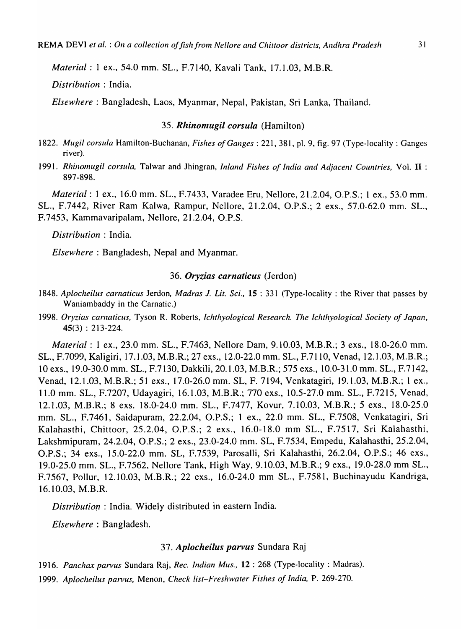*Material: 1 ex., 54.0 mm. SL., F.7140, Kavali Tank, 17.1.03, M.B.R.* 

*Distribution* : India.

*Elsewhere:* Bangladesh, Laos, Myanmar, Nepal, Pakistan, Sri Lanka, Thailand.

### *35. Rhinomugil corsula* (Hamilton)

- 1822. *Mugil corsula* Hamilton-Buchanan, *Fishes of Ganges*: 221, 381, pl. 9, fig. 97 (Type-locality: Ganges river).
- 1991. *Rhinomugil corsula*, Talwar and Jhingran, *Inland Fishes of India and Adjacent Countries*, Vol. II: 897-898.

*Material:* 1 ex., 16.0 mm. SL., F.7433, Varadee Eru, Nellore, 21.2.04, O.P.S.; 1 ex., 53.0 mm. SL., F.7442, River Ram Kalwa, Rampur, Nellore, 21.2.04, O.P.S.; 2 exs., 57.0-62.0 mm. SL., F.7453, Kammavaripalam, Nellore, 21.2.04, O.P.S.

*Distribution:* India.

*Elsewhere:* Bangladesh, Nepal and Myanmar.

### *36. Oryzias carnaticus* (Jerdon)

- 1848. *Aplocheilus carnaticus* Jerdon, *Madras* J. *Lit. Sci.,* 15 : 331 (Type-locality: the River that passes by Waniambaddy in the Carnatic.)
- 1998. *Oryzias carnaticus,* Tyson R. Roberts, *Ichthyological Research. The Ichthyological Society of Japan,*  45(3) : 213-224.

*Material:* 1 ex., 23.0 mm. SL., F.7463, Nellore Dam, 9.10.03, M.B.R.; 3 exs., 18.0-26.0 mm. SL., F.7099, Kaligiri, 17.1.03, M.B.R.; 27 exs., 12.0-22.0 mm. SL., F.7110, Venad, 12.1.03, M.B.R.; 10 exs., 19.0-30.0 mm. SL., F.7130, Dakkili, 20.1.03, M.B.R.; 575 exs., 10.0-31.0 mm. SL., F.7142, Venad, 12.1.03, M.B.R.; 51 exs., 17.0-26.0 mm. SL, F. 7194, Venkatagiri, 19.1.03, M.B.R.; 1 ex., 11.0 mm. SL., F.7207, Udayagiri, 16.1.03, M.B.R.; 770 exs., 10.5-27.0 mm. SL., F.7215, Venad, 12.1.03, M.B.R.; 8 exs. 18.0-24.0 mm. SL., F.7477, Kovur, 7.10.03, M.B.R.; 5 exs., 18.0-25.0 mm. SL., F.7461, Saidapuram, 22.2.04, O.P.S.; 1 ex., 22.0 mm. SL., F.7508, Venkatagiri, Sri Kalahasthi, Chittoor, 25.2.04, *D.P.S.;* 2 exs., 16.0-] 8.0 mm SL., F.7517, Sri Kalahasthi, Lakshmipuram, 24.2.04, *D.P.S.;* 2 exs., 23.0-24.0 mm. SL, F.7534, Empedu, Kalahasthi, 25.2.04, *D.P.S.;* 34 exs., 15.0-22.0 mm. SL, F.7539, Parosalli, Sri Kalahasthi, 26.2.04, *D.P.S.;* 46 exs., 19.0-25.0 mm. SL., F.7562, Nellore Tank, High Way, 9.10.03, M.B.R.; 9 exs., 19.0-28.0 mm SL., F.7567, Pollur, 12.l0.03, M.B.R.; 22 exs., 16.0-24.0 mm SL., F.7581, Buchinayudu Kandriga, 16.10.03, M.B.R.

*Distribution* : India. Widely distributed in eastern India.

*Elsewhere:* Bangladesh.

## *37. Aplocheilus parvus* Sundara Raj

1916. Panchax parvus Sundara Raj, Rec. Indian Mus., 12: 268 (Type-locality: Madras).

1999. *Aplocheilus parvus,* Menon, *Check list-Freshwater Fishes of India,* P. 269-270.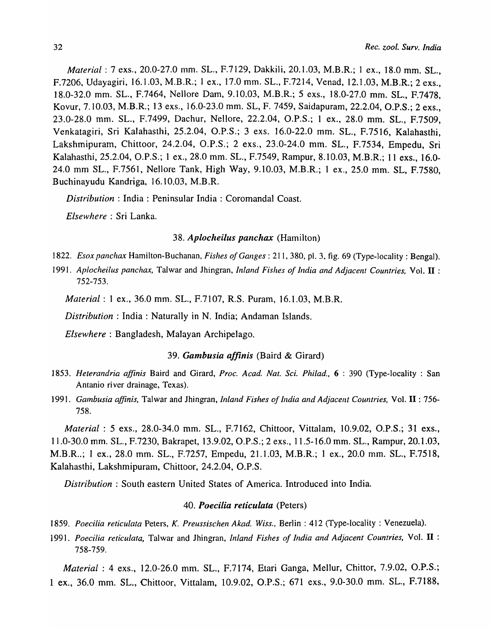*Material:* 7 exs., 20.0-27.0 mm. SL., F.7129, Dakkili, 20.1.03, M.B.R.; 1 ex., 18.0 mm. SL., F.7206, Udayagiri, 16.1.03, M.B.R.; 1 ex., 17.0 mm. SL., F.7214, Venad, 12.1.03, M.B.R.; 2 exs., 18.0-32.0 mm. SL., F.7464, Nellore Dam, 9.10.03, M.B.R.; 5 exs., 18.0-27.0 mm. SL., F.7478. Kovur, 7.10.03, M.B.R.; 13 exs., 16.0-23.0 mm. SL, F. 7459, Saidapuram, 22.2.04, *D.P.S.;* 2 exs., 23.0-28.0 mm. SL., F.7499, Dachur, Nellore, 22.2.04, O.P.S.; 1 ex., 28.0 mm. SL., F.7509, Venkatagiri, Sri Kalahasthi, 25.2.04, O.P.S.; 3 exs. 16.0-22.0 mm. SL., F.7516, Kalahasthi, Lakshmipuram, Chittoor, 24.2.04, O.P.S.; 2 exs., 23.0-24.0 mm. SL., F.7534, Empedu, Sri Kalahasthi, 25.2.04, O.P.S.; 1 ex., 28.0 mm. SL., F.7549, Rampur, 8.10.03, M.B.R.; 11 exs., 16.0- 24.0 mm SL., F.7561, Nellore Tank, High Way, 9.10.03, M.B.R.; 1 ex., 25.0 mm. SL, F.7580, Buchinayudu Kandriga, 16.10.03, M.B.R.

*Distribution:* India: Peninsular India: Coromandal Coast.

*Elsewhere:* Sri Lanka.

### 38. *Aplocheilus panchax* (Hamilton)

1822. *Esox panchax* Hamilton-Buchanan, *Fishes of Ganges:* 211, 380, pI. 3. fjg. 69 (Type-locality: Bengal).

1991. *Aplocheilus panchax,* Talwar and Jhingran, *Inland Fishes of India and Adjacent Countries,* Vol. **II** : 752-753.

*Material:* 1 ex., 36.0 mm. SL., F.7107, R.S. Puram, 16.1.03, M.B.R.

*Distribution:* India: Naturally in N. India; Andaman Islands.

*Elsewhere:* Bangladesh, Malayan Archipelago.

### *39. Gambusia affinis* (Baird & Girard)

- *1853. Heterandria affinis* Baird and Girard, *Proc. A cad. Nat. Sci. Philad.,* 6 : 390 (Type-locality : San Antanio river drainage, Texas).
- 1991. *Gambusia affinis,* Talwar and Jhingran, *Inland Fishes of India and Adjacent Countries,* Vol. **II** : 756- 758.

*Material:* 5 exs., 28.0-34.0 mm. SL., F.7162, Chittoor, Vittalam, 10.9.02, O.P.S.; 31 exs., 11.0-30.0 mm. SL., F.7230, Bakrapet, 13.9.02, O.P.S.; 2 exs., 11.5-16.0 mm. SL., Rampur, 20.1.03, M.B.R..; 1 ex., 28.0 mm. SL., F.7257, Empedu, 21.1.03, M.B.R.; 1 ex., 20.0 mm. SL., F.7518, Kalahasthi, Lakshmipuram, Chittoor, 24.2.04, *D.P.S.* 

*Distribution:* South eastern United States of America. Introduced into India.

#### *40. Poecilia reticulata* (Peters)

- *1859. Poecilia reticulata* Peters, *K. Preussischen Akad. Wiss.,* Berlin: 412 (Type-locality: Venezuela).
- 1991. *Poecilia reticulata,* Talwar and Jhingran, *Inland Fishes of India and Adjacent Countries,* Vol. **II** : 758-759.

*Material:* 4 exs., 12.0-26.0 mm. SL., F.7174, Etari Ganga, Mellur, Chittor, 7.9.02, O.P.S.; 1 ex., 36.0 mm. SL., Chittoor, Vittalam, 10.9.02, *D.P.S.;* 671 exs., 9.0-30.0 mm. SL., F.7188,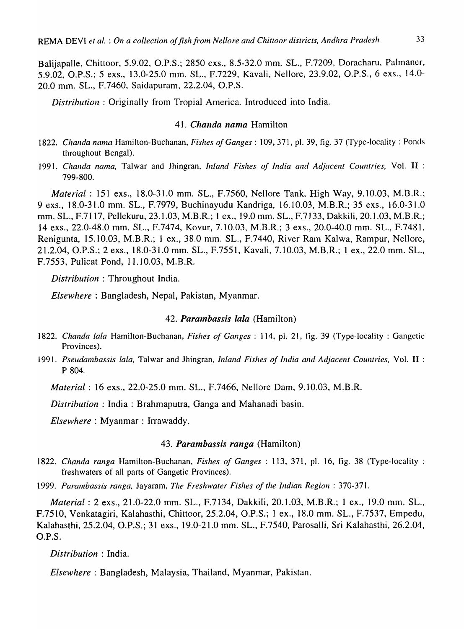Balijapalle, Chittoor, 5.9.02, O.P.S.; 2850 exs., 8.5-32.0 mm. SL., F.7209, Doracharu, Palmaner, 5.9.02, O.P.S.; 5 exs., 13.0-25.0 mm. SL., F.7229, Kavali, Nellore, 23.9.02, O.P.S., 6 exs., 14.0- 20.0 mm. SL., F.7460, Saidapuram, 22.2.04, O.P.S.

*Distribution:* Originally from Tropial America. Introduced into India.

### 41. *Chanda nama* Hamilton

- 1822. *Chanda nama* Hamilton-Buchanan, *Fishes of Ganges*: 109, 371, pl. 39, fig. 37 (Type-locality: Ponds throughout Bengal).
- 1991. Chanda nama, Talwar and Jhingran, *Inland Fishes of India and Adjacent Countries*, Vol. **II**: 799-800.

*Material* : 151 exs., 18.0-31.0 mm. SL., F.7560, Nellore Tank, High Way, 9. 10.03, M.B .R.; 9 exs., 18.0-31.0 mm. SL., F.7979, Buchinayudu Kandriga, 16.10.03, M.B.R.; 35 exs., 16.0-31.0 mm. SL., F.7117, Pellekuru, 23.1.03, M.B.R.; 1 ex., 19.0 mm. SL., F.7133, Dakkili, 20.1.03, M.B.R.; 14 exs., 22.0-48.0 mm. SL., F.7474, Kovur, 7.10.03, M.B.R.; 3 exs., 20.0-40.0 mm. SL., F.7481, Renigunta, 15.10.03, M.B.R.; 1 ex., 38.0 mm. SL., F.7440, River Ram Kalwa, Rampur, Nellore, 21.2.04, O.P.S.; 2 exs., 18.0-31.0 mm. SL., F.7551, Kavali, 7.10.03, M.B.R.; 1 ex., 22.0 mm. SL., F.7553, Pulicat Pond, 11.10.03, M.B.R.

*Distribution* : Throughout India.

*Elsewhere:* Bangladesh, Nepal, Pakistan, Myanmar.

### 42. *Parambassis lala* (Hamilton)

- *1822. Chanda lala* Hamilton-Buchanan, *Fishes of Ganges:* 114, pI. 21, fig. 39 (Type-locality : Gangetic Provinces).
- *1991. Pseudambassis lala,* Talwar and Jhingran, *Inland Fishes of India and Adjacent Countries,* Vol. **II** : P 804.

*Material:* 16 exs., 22.0-25.0 mm. SL., F.7466, Nellore Dam, 9.10.03, M.B.R.

*Distribution* : India: Brahmaputra, Ganga and Mahanadi basin.

*Elsewhere:* Myanmar: Irrawaddy.

### *43. Parambassis ranga* (Hamilton)

- *1822. Chanda ranga* Hamilton-Buchanan, *Fishes of Ganges* : 113, 371, pI. 16, fig. 38 (Type-locality : freshwaters of all parts of Gangetic Provinces).
- *1999. Parambassis ranga,* Jayaram, *The Freshwater Fishes of the Indian Region: 370-371.*

*Material:* 2 exs., 21.0-22.0 mm. SL., F.7134, Dakkili, 20.1.03, M.B.R.; 1 ex., 19.0 mm. SL., F.7510, Venkatagiri, Kalahasthi, Chittoor, 25.2.04, O.P.S.; 1 ex., 18.0 mm. SL., F.7537, Empedu, Kalahasthi, 25.2.04, O.P.S.; 31 exs., 19.0-21.0 mm. SL., F.7540, Parosalli, Sri Kalahasthi, 26.2.04, O.P.S.

*Distribution* : India.

*Elsewhere:* Bangladesh, Malaysia, Thailand, Myanmar, Pakistan.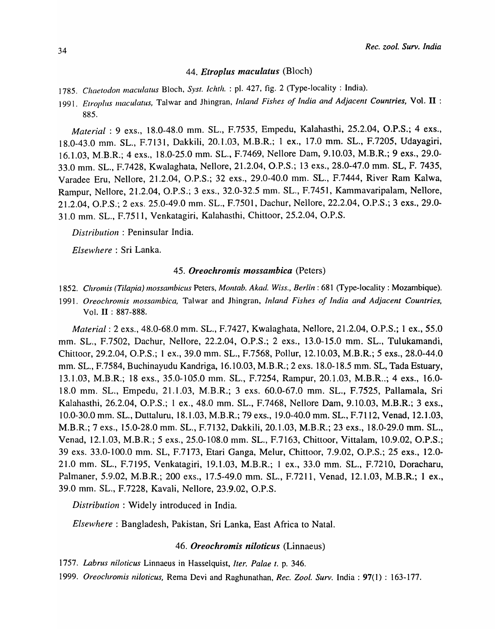### *44. Etropilis maclilatus* (Bloch)

- *1785. Chaetodon maculatus* Bloch, *Syst. Ichth.* : pI. 427, fig. 2 (Type-locality: India).
- *1991. Etropills maculatus,* Talwar and Jhingran, *Inland Fishes of India and Adjacent Countries,* Vol. **II** : 885.

*Material:* 9 exs., 18.0-48.0 mm. SL., F.7535, Empedu, Ka1ahasthi, 25.2.04, *D.P.S.;* 4 exs., 18.0-43.0 mm. SL., F.7131, Dakkili, 20.1.03, M.B.R.; 1 ex., 17.0 mm. SL., F.7205, Udayagiri, 16.1.03, M.B.R.; 4 exs., 18.0-25.0 mm. SL., F.7469, Nellore Dam, 9.10.03, M.B.R.; 9 exs., 29.0- 33.0 mm. SL., F.7428, Kwalaghata, Nellore, 21.2.04, *D.P.S.;* 13 exs., 28.0-47.0 mm. SL, F. 7435, Varadee Eru, Nellore, 21.2.04, G.P.S.; 32 exs., 29.0-40.0 mm. SL., F.7444, River Ram Kalwa, Rampur, Nellore, 21.2.04, O.P.S.; 3 exs., 32.0-32.5 mm. SL., F.7451, Kammavaripalam, Nellore, 21.2.04, *D.P.S.;* 2 exs. 25.0-49.0 mm. SL., F.7501, Dachur, Nellore, 22.2.04, G.P.S.; 3 exs., 29.0- 31.0 mm. SL., F.75 I 1, Venkatagiri, Kalahasthi, Chittoor, 25.2.04, G.P.S.

*Distribution:* Peninsular India.

*Elsewhere:* Sri Lanka.

### *45. Oreochromis mossambica* (Peters)

*1852. Chromis (Tilapia) mossambicus* Peters, *Montab. Akad. Wiss., Berlin:* 681 (Type-locality: Mozambique).

1991. Oreochromis mossambica, Talwar and Jhingran, *Inland Fishes of India and Adjacent Countries*, Vol. II : 887-888.

*Material:* 2 exs., 48.0-68.0 mm. SL., F.7427, Kwa1aghata, Nellore, 21.2.04, O.P.S.; 1 ex., 55.0 mm. SL., F.7502, Dachur, Nellore, 22.2.04, O.P.S.; 2 exs., 13.0-15.0 mm. SL., Tulukamandi, Chittoor, 29.2.04, G.P.S.; 1 ex., 39.0 mm. SL., F.7568, Pollur, 12.10.03, M.B.R.; 5 exs., 28.0-44.0 mm. SL., F.7584, Buchinayudu Kandriga, 16.10.03, M.B.R.; 2 exs. 18.0-18.5 mm. SL, Tada Estuary, 13.1.03, M.B.R.; 18 exs., 35.0-105.0 mm. SL., F.7254, Rampur, 20.1.03, M.B.R .. ; 4 exs., 16.0- 18.0 mm. SL., Empedu, 21.1.03, M.B.R.; 3 exs. 60.0-67.0 mm. SL., F.7525, Pallamala, Sri Kalahasthi, 26.2.04, *D.P.S.;* 1 ex., 48.0 mm. SL., F.7468, Nellore Dam, 9.10.03, M.B.R.; 3 exs., 10.0-30.0 mm. SL., Duttaluru, 18.1.03, M.B.R.; 79 exs., 19.0-40.0 mm. SL., F.7112, Venad, 12.1.03, M.B.R.; 7 exs., 15.0-28.0 mm. SL., F.7132, Dakkili, 20.1.03, M.B.R.; 23 exs., 18.0-29.0 mm. SL., Venad, 12.1.03, M.B.R.; 5 exs., 25.0-108.0 mm. SL., F.7163, Chittoor, Vittalam, 10.9.02, O.P.S.; 39 exs. 33.0-100.0 mm. SL, F.7173, Etari Ganga, Melur, Chittoor, 7.9.02, O.P.S.; 25 exs., 12.0-21.0 mm. SL., F.7195, Venkatagiri, 19.1.03, M.B.R.; I ex., 33.0 mm. SL., F.7210, Doracharu, Palmaner, 5.9.02, M.B.R.; 200 exs., 17.5-49.0 mm. SL., F.7211, Venad, 12.1.03, M.B.R.; 1 ex., 39.0 mm. SL., F.7228, Kavali, Nellore, 23.9.02, O.P.S.

*Distribution:* Widely introduced in India.

*Elsewhere:* Bangladesh, Pakistan, Sri Lanka, East Africa to Natal.

### *46. Oreochromis niloticus* (Linnaeus)

*1757. Labrus niloticus* Linnaeus in Hasselquist, *Iter. Palae t.* p. 346.

*1999. Oreoclzromis niloticus,* Rema Devi and Raghunathan, *Rec. Zoo!. Surv.* India: 97(1) : 163-177.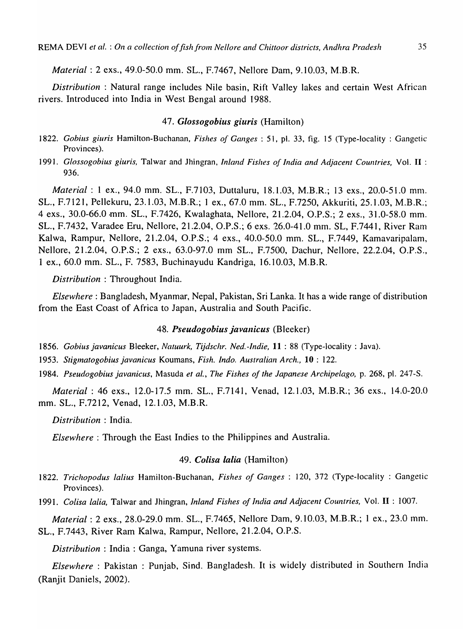*Material:* 2 exs., 49.0-50.0 mm. SL., F.7467, Nellore Dam, 9.10.03, M.B.R.

*Distribution:* Natural range includes Nile basin, Rift Valley lakes and certain West African rivers. Introduced into India in West Bengal around 1988.

### *47. Glossogobius giuris* (Hamilton)

- ] 822. *Gobills giuris* Hamilton-Buchanan, *Fishes of Ganges* : 51, pI. 33, fig. 15 (Type-locality : Gangetic Provinces).
- *1991. Glossogobius giuris,* Talwar and Jhingran, *Inland Fishes of India and Adjacent Countries,* Vol. **II** : 936.

*Material: 1 ex., 94.0 mm. SL., F.7103, Duttaluru, 18.1.03, M.B.R.; 13 exs., 20.0-51.0 mm.* SL., F.7121, Pellekuru, 23.1.03, M.B.R.; 1 ex., 67.0 mm. SL., F.7250, Akkuriti, 25.1.03, M.B.R.; 4 exs., 30.0-66.0 ·mm. SL., F.7426, Kwalaghata, Nellore, 21.2.04, O.P.S.; 2 exs., 31.0-58.0 mm. SL., F.7432, Varadee Eru, Nellore, 21.2.04, O.P.S.; 6 exs. 26.0-41.0 mm. SL, F.7441, River Ram Kalwa, Rampur, Nellore, 21.2.04, O.P.S.; 4 exs., 40.0-50.0 mm. SL., F.7449, Kamavaripalam, Nellore, 21.2.04, O.P.S.; 2 exs., 63.0-97.0 mm SL., F.7500, Dachur, Nellore, 22.2.04, O.P.S., 1 ex., 60.0 mm. SL., F. 7583, Buchinayudu Kandriga, 16.10.03, M.B.R.

*Distribution* : Throughout India.

*Elsewhere:* Bangladesh, Myanmar, Nepal, Pakistan, Sri Lanka. It has a wide range of distribution from the East Coast of Africa to Japan, Australia and South Pacific.

### 48. Pseudogobius *javanicus* (Bleeker)

*1856. Gobius javanicus* Bleeker, *Natuurk, Tijdschr. Ned. -Indie,* **11** : 88 (Type-locality: Java).

*1953. Stigmatogobius javanicus* Koumans, *Fish. Indo. Australian Arch.,* **10** : 122.

*1984. Pseudogobius javanicus,* Masuda *et aI., The Fishes of the Japanese Archipelago,* p. 268, pI. 247-S.

*Material:* 46 exs., 12.0-17.5 mm. SL., F.7141, Venad, 12.1.03, M.B.R.; 36 exs., 14.0-20.0 mm. SL., F.7212, Venad, 12.1.03, M.B.R.

*Distribution* : India.

*Elsewhere:* Through the East Indies to the Philippines and Australia.

### *49. CoUsa lalia* (Hamilton)

*1822. Trichopodus lalius* Hamilton-Buchanan, *Fishes of Ganges* : 120, 372 (Type-locality : Gangetic Provinces).

*1991. Colisa ialia,* Talwar and Jhingran, *Inland Fishes of India and Adjacent Countries,* Vol. **II** : 1007.

*Material:* 2 exs., 28.0-29.0 mm. SL., F.7465, Nellore Dam, 9.10.03, M.B.R.; 1 ex., 23.0 mm. SL., F.7443, River Ram Kalwa, Rampur, Nellore, 21.2.04, O.P.S.

*Distribution:* India: Ganga, Yamuna river systems.

*Elsewhere:* Pakistan : Punjab, Sind. Bangladesh. It is widely distributed in Southern India (Ranjit Daniels, 2002).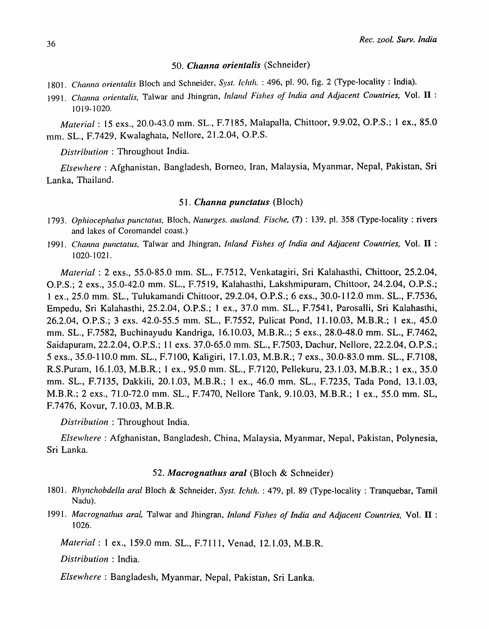### *50. Channa orientalis* (Schneider)

- 1801. *Channa orientalis* Bloch and Schneider, Syst. Ichth. : 496, pl. 90, fig. 2 (Type-locality: India).
- 1991. *Channa orientalis,* Talwar and Jhingran, *In/alld Fishes of India and Adjacent Countries,* Vol. **II** : 1019-1020.

*Material:* 15 exs., 20.0-43.0 mm. SL., F.7185, Malapalla, Chittoor, 9.9.02, O.P.S.; 1 ex., 85.0 mm. SL., F.7429, Kwalaghata, Nellore, 21.2.04, O.P.S.

*Distribution* : Throughout India.

*Elsewhere:* Afghanistan, Bangladesh, Borneo, Iran, Malaysia, Myanmar, Nepal, Pakistan, Sri Lanka, Thailand.

### *51. Channa punctatus* (Bloch)

- 1793. *Ophiocephalus punctatus, Bloch, Naturges. ausland. Fische,* (7): 139, pl. 358 (Type-locality: rivers and lakes of Coromandel coast.)
- ]991. *Channa punctatus,* Talwar and Jhingran, *Inland Fishes of India and Adjacent Countries,* Vol. **II** : 1020-1021.

*Material:* 2 exs., 55.0-85.0 mm. SL., F.7512, Venkatagiri, Sri Kalahasthi, Chittoor, 25.2.04, O.P.S.; 2 exs., 35.0-42.0 mm. SL., F.75 19, Kalahasthi, Lakshmipuram, Chittoor, 24.2.04, O.P.S.; 1 ex., 25.0 mm. SL., Tulukamandi Chittoor, 29.2.04, O.P.S.; 6 exs., 30.0- 1 12.0 mm. SL., F.7536, Empedu, Sri Kalahasthi, 25.2.04, O.P.S.; I ex., 37.0 mm. SL., F.754 I, Parosal1i, Sri Kalahasthi, 26.2.04, O.P.S.; 3 exs. 42.0-55.5 mm. SL., F.7552, Pulicat Pond, 11.10.03, M.B.R.; 1 ex., 45.0 mm. SL., F.7582, Buchinayudu Kandriga, 16.10.03, M.B.R .. ; 5 exs., 28.0-48.0 mm. SL., F.7462, Saidapuram, 22.2.04, O.P.S.; 11 exs. 37.0-65.0 mm. SL., F.7503, Dachur, Nellore, 22.2.04, O.P.S.; 5 exs., 35.0-110.0 mm. SL., F.7100, Kaligiri, 17.1.03, M.B.R.; 7 exs., 30.0-83.0 mm. SL., F.7108, R.S.Puram, 16.1.03, M.B.R.; 1 ex., 95.0 mm. SL., F.7120, Pellekuru, 23.1.03, M.B.R.; 1 ex., 35.0 mm. SL., F.7135, Dakkili, 20.1.03, M.B.R.; I ex., 46.0 mm. SL., F.7235, Tada Pond, 13.1.03, M.B.R.; 2 exs., 71.0-72.0 mm. SL., F.7470, Nellore Tank, 9.10.03, M.B.R.; 1 ex., 55.0 mm. SL, F.7476, Kovur, 7.10.03, M.B.R.

*Distribution* : Throughout India.

*Elsewhere:* Afghanistan, Bangladesh, China, Malaysia, Myanmar, Nepal, Pakistan, Polynesia, Sri Lanka.

### *52. Macrognathus aral* (Bloch & Schneider)

- *1801. Rlzynchobdella araf* Bloch & Schneider, *Syst. Ichth.* : 479, pI. 89 (Type-locality: Tranquebar, Tamil Nadu).
- 1991. *Macrognathus aral,* Talwar and Jhingran, *Inland Fishes of India and Adjacent Countries,* Vol. **II** : 1026.

*Material:* I ex., 159.0 mm. SL., F.7111, Venad, 12.1.03, M.B.R.

*Distribution:* India.

*Elsewhere* : Bangladesh, Myanmar, Nepal, Pakistan, Sri Lanka.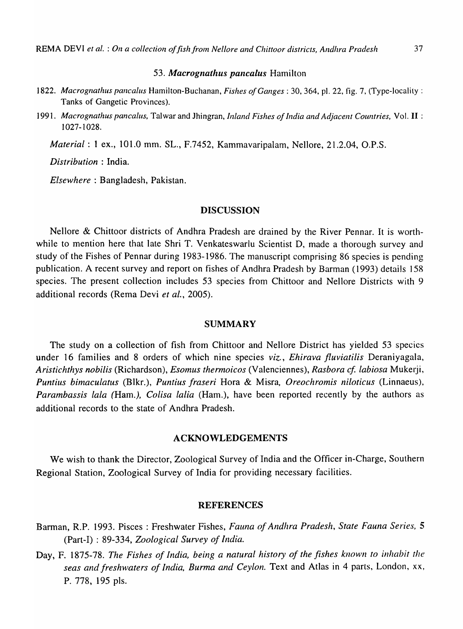### *53. Macrognathus pancaius* Hamilton

- *1822. Macrognathus pancaius* Hamilton-Buchanan, *Fishes of Ganges* : 30,364, pI. 22, fig. 7, (Type-locality: Tanks of Gangetic Provinces).
- *1991. Macrognathus pancalus,* Talwar and Jhingran, *Inland Fishes of India and Adjacent Countries,* Vol. II : 1027-1028.

*Material:* 1 ex., 101.0 mm. SL., F.7452, Kammavaripalam, Nellore, 21.2.04, O.P.S.

*Distribution* : India.

*Elsewhere:* Bangladesh, Pakistan.

### DISCUSSION

Nellore & Chittoor districts of Andhra Pradesh are drained by the River Pennar. It is worthwhile to mention here that late Shri T. Venkateswarlu Scientist D, made a thorough survey and study of the Fishes of Pennar during 1983-1986. The manuscript comprising 86 species is pending publication. A recent survey and report on fishes of Andhra Pradesh by Barman (1993) details 158 species. The present collection includes 53 species from Chittoor and Nellore Districts with 9 additional records (Rema Devi *et at., 2005).* 

### SUMMARY

The study on a collection of fish from Chittoor and Nellore District has yielded 53 species under 16 families and 8 orders of which nine species *viz., Ehirava fluviatilis* Deraniyagala, *Aristichthys nobilis* (Richardson), *Esomus thermoicos* (Valenciennes), *Rasbora cf. labiosa* Mukerji, *Puntius binlaculatus* (Blkr.), *Puntius fraseri* Hora & Misra, *Oreochromis niloticus* (Linnaeus), *Parambassis lala (Ham.), Colisa lalia (Ham.), have been reported recently by the authors as* additional records to the state of Andhra Pradesh.

### ACKNOWLEDGEMENTS

We wish to thank the Director, Zoological Survey of India and the Officer in-Charge, Southern Regional Station, Zoological Survey of India for providing necessary facilities.

### REFERENCES

- Bannan, R.P. 1993. Pisces: Freshwater Fishes, *Fauna of Andhra Pradesh, State Fauna Series, 5*  (Part-I) : 89-334, *Zoological Survey of India.*
- Day, F. 1875-78. *The Fishes of India, being a natural history of the fishes known to inhabit the*  seas and freshwaters of India, Burma and Ceylon. Text and Atlas in 4 parts, London, xx, P. 778, 195 pIs.